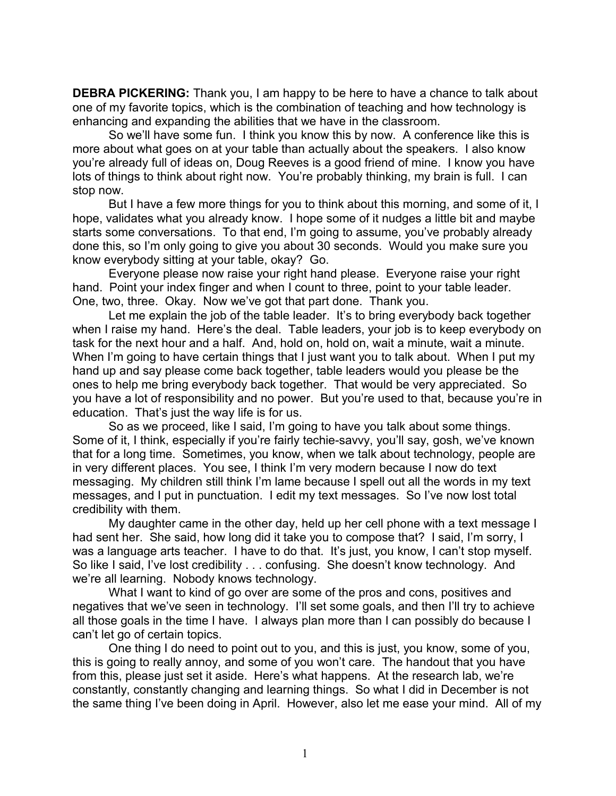**DEBRA PICKERING:** Thank you, I am happy to be here to have a chance to talk about one of my favorite topics, which is the combination of teaching and how technology is enhancing and expanding the abilities that we have in the classroom.

So we'll have some fun. I think you know this by now. A conference like this is more about what goes on at your table than actually about the speakers. I also know you're already full of ideas on, Doug Reeves is a good friend of mine. I know you have lots of things to think about right now. You're probably thinking, my brain is full. I can stop now.

But I have a few more things for you to think about this morning, and some of it, I hope, validates what you already know. I hope some of it nudges a little bit and maybe starts some conversations. To that end, I'm going to assume, you've probably already done this, so I'm only going to give you about 30 seconds. Would you make sure you know everybody sitting at your table, okay? Go.

Everyone please now raise your right hand please. Everyone raise your right hand. Point your index finger and when I count to three, point to your table leader. One, two, three. Okay. Now we've got that part done. Thank you.

Let me explain the job of the table leader. It's to bring everybody back together when I raise my hand. Here's the deal. Table leaders, your job is to keep everybody on task for the next hour and a half. And, hold on, hold on, wait a minute, wait a minute. When I'm going to have certain things that I just want you to talk about. When I put my hand up and say please come back together, table leaders would you please be the ones to help me bring everybody back together. That would be very appreciated. So you have a lot of responsibility and no power. But you're used to that, because you're in education. That's just the way life is for us.

So as we proceed, like I said, I'm going to have you talk about some things. Some of it, I think, especially if you're fairly techie-savvy, you'll say, gosh, we've known that for a long time. Sometimes, you know, when we talk about technology, people are in very different places. You see, I think I'm very modern because I now do text messaging. My children still think I'm lame because I spell out all the words in my text messages, and I put in punctuation. I edit my text messages. So I've now lost total credibility with them.

My daughter came in the other day, held up her cell phone with a text message I had sent her. She said, how long did it take you to compose that? I said, I'm sorry, I was a language arts teacher. I have to do that. It's just, you know, I can't stop myself. So like I said, I've lost credibility . . . confusing. She doesn't know technology. And we're all learning. Nobody knows technology.

What I want to kind of go over are some of the pros and cons, positives and negatives that we've seen in technology. I'll set some goals, and then I'll try to achieve all those goals in the time I have. I always plan more than I can possibly do because I can't let go of certain topics.

One thing I do need to point out to you, and this is just, you know, some of you, this is going to really annoy, and some of you won't care. The handout that you have from this, please just set it aside. Here's what happens. At the research lab, we're constantly, constantly changing and learning things. So what I did in December is not the same thing I've been doing in April. However, also let me ease your mind. All of my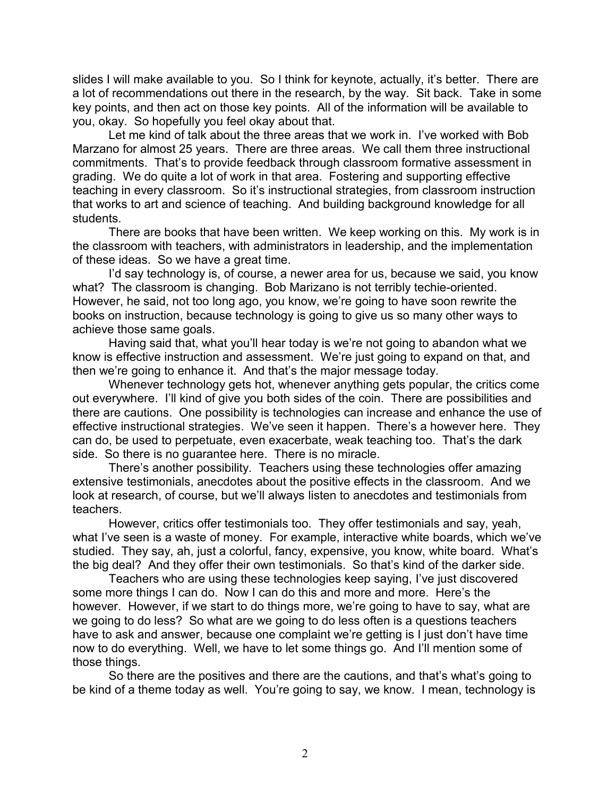slides I will make available to you. So I think for keynote, actually, it's better. There are a lot of recommendations out there in the research, by the way. Sit back. Take in some key points, and then act on those key points. All of the information will be available to you, okay. So hopefully you feel okay about that.

Let me kind of talk about the three areas that we work in. I've worked with Bob Marzano for almost 25 years. There are three areas. We call them three instructional commitments. That's to provide feedback through classroom formative assessment in grading. We do quite a lot of work in that area. Fostering and supporting effective teaching in every classroom. So it's instructional strategies, from classroom instruction that works to art and science of teaching. And building background knowledge for all students.

There are books that have been written. We keep working on this. My work is in the classroom with teachers, with administrators in leadership, and the implementation of these ideas. So we have a great time.

I'd say technology is, of course, a newer area for us, because we said, you know what? The classroom is changing. Bob Marizano is not terribly techie-oriented. However, he said, not too long ago, you know, we're going to have soon rewrite the books on instruction, because technology is going to give us so many other ways to achieve those same goals.

Having said that, what you'll hear today is we're not going to abandon what we know is effective instruction and assessment. We're just going to expand on that, and then we're going to enhance it. And that's the major message today.

Whenever technology gets hot, whenever anything gets popular, the critics come out everywhere. I'll kind of give you both sides of the coin. There are possibilities and there are cautions. One possibility is technologies can increase and enhance the use of effective instructional strategies. We've seen it happen. There's a however here. They can do, be used to perpetuate, even exacerbate, weak teaching too. That's the dark side. So there is no guarantee here. There is no miracle.

There's another possibility. Teachers using these technologies offer amazing extensive testimonials, anecdotes about the positive effects in the classroom. And we look at research, of course, but we'll always listen to anecdotes and testimonials from teachers.

However, critics offer testimonials too. They offer testimonials and say, yeah, what I've seen is a waste of money. For example, interactive white boards, which we've studied. They say, ah, just a colorful, fancy, expensive, you know, white board. What's the big deal? And they offer their own testimonials. So that's kind of the darker side.

Teachers who are using these technologies keep saying, I've just discovered some more things I can do. Now I can do this and more and more. Here's the however. However, if we start to do things more, we're going to have to say, what are we going to do less? So what are we going to do less often is a questions teachers have to ask and answer, because one complaint we're getting is I just don't have time now to do everything. Well, we have to let some things go. And I'll mention some of those things.

So there are the positives and there are the cautions, and that's what's going to be kind of a theme today as well. You're going to say, we know. I mean, technology is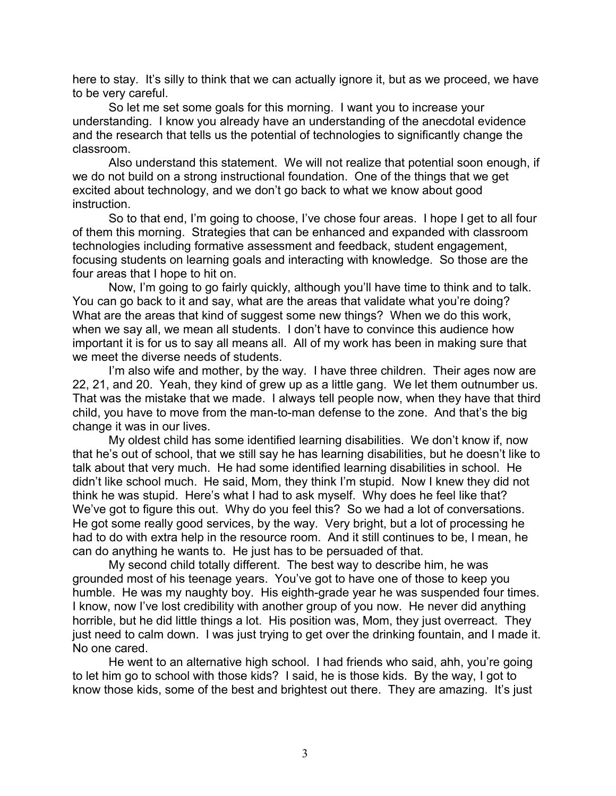here to stay. It's silly to think that we can actually ignore it, but as we proceed, we have to be very careful.

So let me set some goals for this morning. I want you to increase your understanding. I know you already have an understanding of the anecdotal evidence and the research that tells us the potential of technologies to significantly change the classroom.

Also understand this statement. We will not realize that potential soon enough, if we do not build on a strong instructional foundation. One of the things that we get excited about technology, and we don't go back to what we know about good instruction.

So to that end, I'm going to choose, I've chose four areas. I hope I get to all four of them this morning. Strategies that can be enhanced and expanded with classroom technologies including formative assessment and feedback, student engagement, focusing students on learning goals and interacting with knowledge. So those are the four areas that I hope to hit on.

Now, I'm going to go fairly quickly, although you'll have time to think and to talk. You can go back to it and say, what are the areas that validate what you're doing? What are the areas that kind of suggest some new things? When we do this work, when we say all, we mean all students. I don't have to convince this audience how important it is for us to say all means all. All of my work has been in making sure that we meet the diverse needs of students.

I'm also wife and mother, by the way. I have three children. Their ages now are 22, 21, and 20. Yeah, they kind of grew up as a little gang. We let them outnumber us. That was the mistake that we made. I always tell people now, when they have that third child, you have to move from the man-to-man defense to the zone. And that's the big change it was in our lives.

My oldest child has some identified learning disabilities. We don't know if, now that he's out of school, that we still say he has learning disabilities, but he doesn't like to talk about that very much. He had some identified learning disabilities in school. He didn't like school much. He said, Mom, they think I'm stupid. Now I knew they did not think he was stupid. Here's what I had to ask myself. Why does he feel like that? We've got to figure this out. Why do you feel this? So we had a lot of conversations. He got some really good services, by the way. Very bright, but a lot of processing he had to do with extra help in the resource room. And it still continues to be, I mean, he can do anything he wants to. He just has to be persuaded of that.

My second child totally different. The best way to describe him, he was grounded most of his teenage years. You've got to have one of those to keep you humble. He was my naughty boy. His eighth-grade year he was suspended four times. I know, now I've lost credibility with another group of you now. He never did anything horrible, but he did little things a lot. His position was, Mom, they just overreact. They just need to calm down. I was just trying to get over the drinking fountain, and I made it. No one cared.

He went to an alternative high school. I had friends who said, ahh, you're going to let him go to school with those kids? I said, he is those kids. By the way, I got to know those kids, some of the best and brightest out there. They are amazing. It's just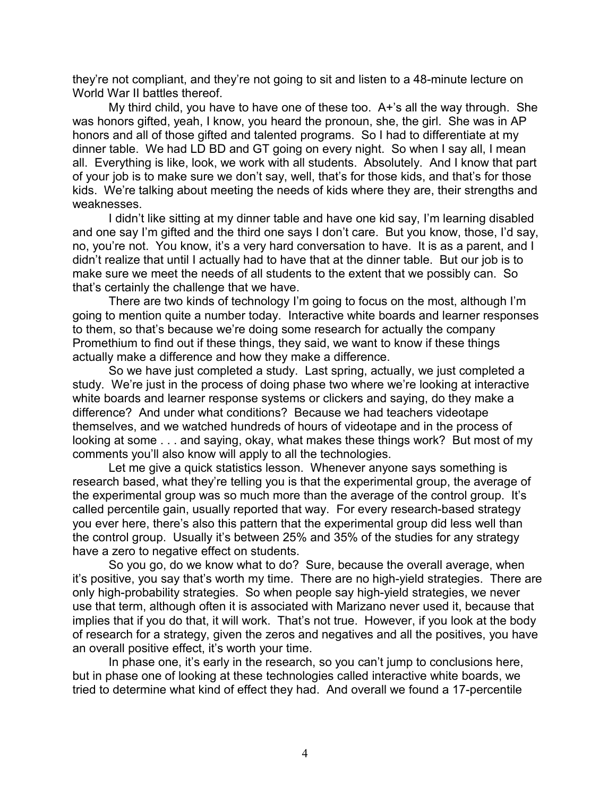they're not compliant, and they're not going to sit and listen to a 48-minute lecture on World War II battles thereof.

My third child, you have to have one of these too. A+'s all the way through. She was honors gifted, yeah, I know, you heard the pronoun, she, the girl. She was in AP honors and all of those gifted and talented programs. So I had to differentiate at my dinner table. We had LD BD and GT going on every night. So when I say all, I mean all. Everything is like, look, we work with all students. Absolutely. And I know that part of your job is to make sure we don't say, well, that's for those kids, and that's for those kids. We're talking about meeting the needs of kids where they are, their strengths and weaknesses.

I didn't like sitting at my dinner table and have one kid say, I'm learning disabled and one say I'm gifted and the third one says I don't care. But you know, those, I'd say, no, you're not. You know, it's a very hard conversation to have. It is as a parent, and I didn't realize that until I actually had to have that at the dinner table. But our job is to make sure we meet the needs of all students to the extent that we possibly can. So that's certainly the challenge that we have.

There are two kinds of technology I'm going to focus on the most, although I'm going to mention quite a number today. Interactive white boards and learner responses to them, so that's because we're doing some research for actually the company Promethium to find out if these things, they said, we want to know if these things actually make a difference and how they make a difference.

So we have just completed a study. Last spring, actually, we just completed a study. We're just in the process of doing phase two where we're looking at interactive white boards and learner response systems or clickers and saying, do they make a difference? And under what conditions? Because we had teachers videotape themselves, and we watched hundreds of hours of videotape and in the process of looking at some . . . and saying, okay, what makes these things work? But most of my comments you'll also know will apply to all the technologies.

Let me give a quick statistics lesson. Whenever anyone says something is research based, what they're telling you is that the experimental group, the average of the experimental group was so much more than the average of the control group. It's called percentile gain, usually reported that way. For every research-based strategy you ever here, there's also this pattern that the experimental group did less well than the control group. Usually it's between 25% and 35% of the studies for any strategy have a zero to negative effect on students.

So you go, do we know what to do? Sure, because the overall average, when it's positive, you say that's worth my time. There are no high-yield strategies. There are only high-probability strategies. So when people say high-yield strategies, we never use that term, although often it is associated with Marizano never used it, because that implies that if you do that, it will work. That's not true. However, if you look at the body of research for a strategy, given the zeros and negatives and all the positives, you have an overall positive effect, it's worth your time.

In phase one, it's early in the research, so you can't jump to conclusions here, but in phase one of looking at these technologies called interactive white boards, we tried to determine what kind of effect they had. And overall we found a 17-percentile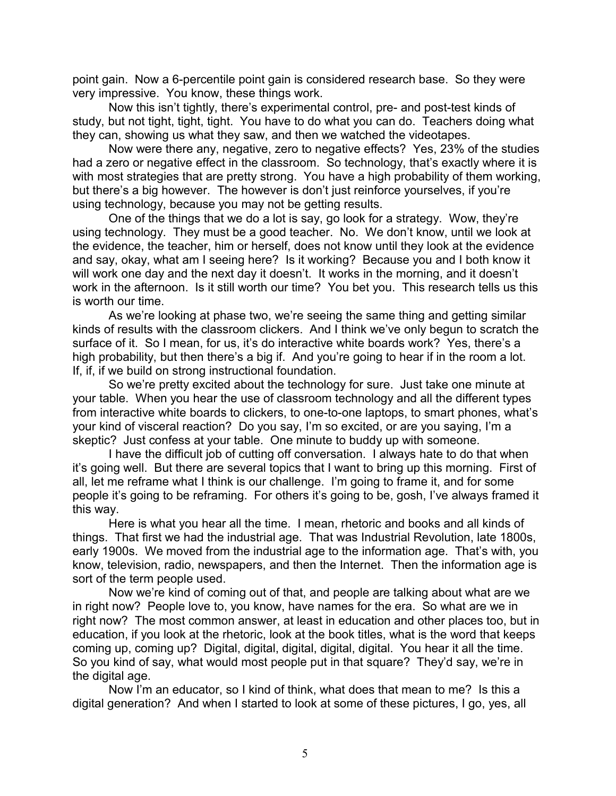point gain. Now a 6-percentile point gain is considered research base. So they were very impressive. You know, these things work.

Now this isn't tightly, there's experimental control, pre- and post-test kinds of study, but not tight, tight, tight. You have to do what you can do. Teachers doing what they can, showing us what they saw, and then we watched the videotapes.

Now were there any, negative, zero to negative effects? Yes, 23% of the studies had a zero or negative effect in the classroom. So technology, that's exactly where it is with most strategies that are pretty strong. You have a high probability of them working, but there's a big however. The however is don't just reinforce yourselves, if you're using technology, because you may not be getting results.

One of the things that we do a lot is say, go look for a strategy. Wow, they're using technology. They must be a good teacher. No. We don't know, until we look at the evidence, the teacher, him or herself, does not know until they look at the evidence and say, okay, what am I seeing here? Is it working? Because you and I both know it will work one day and the next day it doesn't. It works in the morning, and it doesn't work in the afternoon. Is it still worth our time? You bet you. This research tells us this is worth our time.

As we're looking at phase two, we're seeing the same thing and getting similar kinds of results with the classroom clickers. And I think we've only begun to scratch the surface of it. So I mean, for us, it's do interactive white boards work? Yes, there's a high probability, but then there's a big if. And you're going to hear if in the room a lot. If, if, if we build on strong instructional foundation.

So we're pretty excited about the technology for sure. Just take one minute at your table. When you hear the use of classroom technology and all the different types from interactive white boards to clickers, to one-to-one laptops, to smart phones, what's your kind of visceral reaction? Do you say, I'm so excited, or are you saying, I'm a skeptic? Just confess at your table. One minute to buddy up with someone.

I have the difficult job of cutting off conversation. I always hate to do that when it's going well. But there are several topics that I want to bring up this morning. First of all, let me reframe what I think is our challenge. I'm going to frame it, and for some people it's going to be reframing. For others it's going to be, gosh, I've always framed it this way.

Here is what you hear all the time. I mean, rhetoric and books and all kinds of things. That first we had the industrial age. That was Industrial Revolution, late 1800s, early 1900s. We moved from the industrial age to the information age. That's with, you know, television, radio, newspapers, and then the Internet. Then the information age is sort of the term people used.

Now we're kind of coming out of that, and people are talking about what are we in right now? People love to, you know, have names for the era. So what are we in right now? The most common answer, at least in education and other places too, but in education, if you look at the rhetoric, look at the book titles, what is the word that keeps coming up, coming up? Digital, digital, digital, digital, digital. You hear it all the time. So you kind of say, what would most people put in that square? They'd say, we're in the digital age.

Now I'm an educator, so I kind of think, what does that mean to me? Is this a digital generation? And when I started to look at some of these pictures, I go, yes, all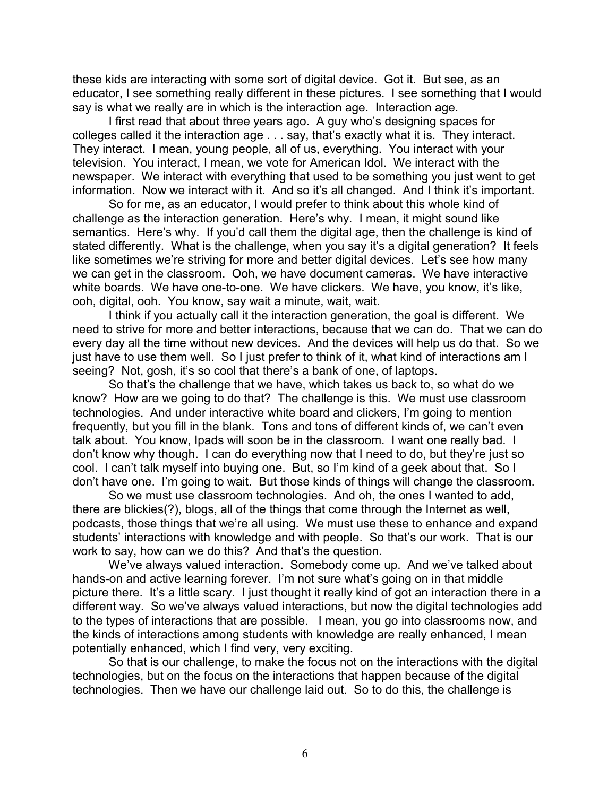these kids are interacting with some sort of digital device. Got it. But see, as an educator, I see something really different in these pictures. I see something that I would say is what we really are in which is the interaction age. Interaction age.

I first read that about three years ago. A guy who's designing spaces for colleges called it the interaction age . . . say, that's exactly what it is. They interact. They interact. I mean, young people, all of us, everything. You interact with your television. You interact, I mean, we vote for American Idol. We interact with the newspaper. We interact with everything that used to be something you just went to get information. Now we interact with it. And so it's all changed. And I think it's important.

So for me, as an educator, I would prefer to think about this whole kind of challenge as the interaction generation. Here's why. I mean, it might sound like semantics. Here's why. If you'd call them the digital age, then the challenge is kind of stated differently. What is the challenge, when you say it's a digital generation? It feels like sometimes we're striving for more and better digital devices. Let's see how many we can get in the classroom. Ooh, we have document cameras. We have interactive white boards. We have one-to-one. We have clickers. We have, you know, it's like, ooh, digital, ooh. You know, say wait a minute, wait, wait.

I think if you actually call it the interaction generation, the goal is different. We need to strive for more and better interactions, because that we can do. That we can do every day all the time without new devices. And the devices will help us do that. So we just have to use them well. So I just prefer to think of it, what kind of interactions am I seeing? Not, gosh, it's so cool that there's a bank of one, of laptops.

So that's the challenge that we have, which takes us back to, so what do we know? How are we going to do that? The challenge is this. We must use classroom technologies. And under interactive white board and clickers, I'm going to mention frequently, but you fill in the blank. Tons and tons of different kinds of, we can't even talk about. You know, Ipads will soon be in the classroom. I want one really bad. I don't know why though. I can do everything now that I need to do, but they're just so cool. I can't talk myself into buying one. But, so I'm kind of a geek about that. So I don't have one. I'm going to wait. But those kinds of things will change the classroom.

So we must use classroom technologies. And oh, the ones I wanted to add, there are blickies(?), blogs, all of the things that come through the Internet as well, podcasts, those things that we're all using. We must use these to enhance and expand students' interactions with knowledge and with people. So that's our work. That is our work to say, how can we do this? And that's the question.

We've always valued interaction. Somebody come up. And we've talked about hands-on and active learning forever. I'm not sure what's going on in that middle picture there. It's a little scary. I just thought it really kind of got an interaction there in a different way. So we've always valued interactions, but now the digital technologies add to the types of interactions that are possible. I mean, you go into classrooms now, and the kinds of interactions among students with knowledge are really enhanced, I mean potentially enhanced, which I find very, very exciting.

So that is our challenge, to make the focus not on the interactions with the digital technologies, but on the focus on the interactions that happen because of the digital technologies. Then we have our challenge laid out. So to do this, the challenge is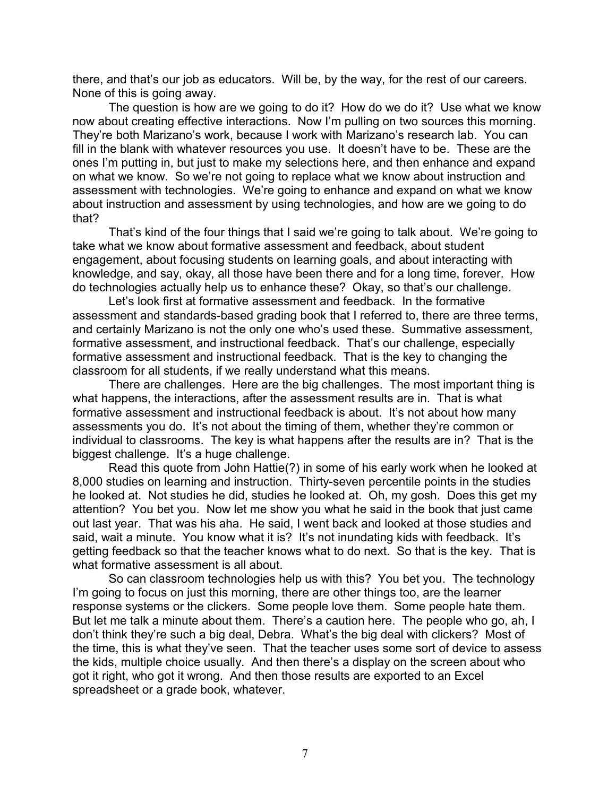there, and that's our job as educators. Will be, by the way, for the rest of our careers. None of this is going away.

The question is how are we going to do it? How do we do it? Use what we know now about creating effective interactions. Now I'm pulling on two sources this morning. They're both Marizano's work, because I work with Marizano's research lab. You can fill in the blank with whatever resources you use. It doesn't have to be. These are the ones I'm putting in, but just to make my selections here, and then enhance and expand on what we know. So we're not going to replace what we know about instruction and assessment with technologies. We're going to enhance and expand on what we know about instruction and assessment by using technologies, and how are we going to do that?

That's kind of the four things that I said we're going to talk about. We're going to take what we know about formative assessment and feedback, about student engagement, about focusing students on learning goals, and about interacting with knowledge, and say, okay, all those have been there and for a long time, forever. How do technologies actually help us to enhance these? Okay, so that's our challenge.

Let's look first at formative assessment and feedback. In the formative assessment and standards-based grading book that I referred to, there are three terms, and certainly Marizano is not the only one who's used these. Summative assessment, formative assessment, and instructional feedback. That's our challenge, especially formative assessment and instructional feedback. That is the key to changing the classroom for all students, if we really understand what this means.

There are challenges. Here are the big challenges. The most important thing is what happens, the interactions, after the assessment results are in. That is what formative assessment and instructional feedback is about. It's not about how many assessments you do. It's not about the timing of them, whether they're common or individual to classrooms. The key is what happens after the results are in? That is the biggest challenge. It's a huge challenge.

Read this quote from John Hattie(?) in some of his early work when he looked at 8,000 studies on learning and instruction. Thirty-seven percentile points in the studies he looked at. Not studies he did, studies he looked at. Oh, my gosh. Does this get my attention? You bet you. Now let me show you what he said in the book that just came out last year. That was his aha. He said, I went back and looked at those studies and said, wait a minute. You know what it is? It's not inundating kids with feedback. It's getting feedback so that the teacher knows what to do next. So that is the key. That is what formative assessment is all about.

So can classroom technologies help us with this? You bet you. The technology I'm going to focus on just this morning, there are other things too, are the learner response systems or the clickers. Some people love them. Some people hate them. But let me talk a minute about them. There's a caution here. The people who go, ah, I don't think they're such a big deal, Debra. What's the big deal with clickers? Most of the time, this is what they've seen. That the teacher uses some sort of device to assess the kids, multiple choice usually. And then there's a display on the screen about who got it right, who got it wrong. And then those results are exported to an Excel spreadsheet or a grade book, whatever.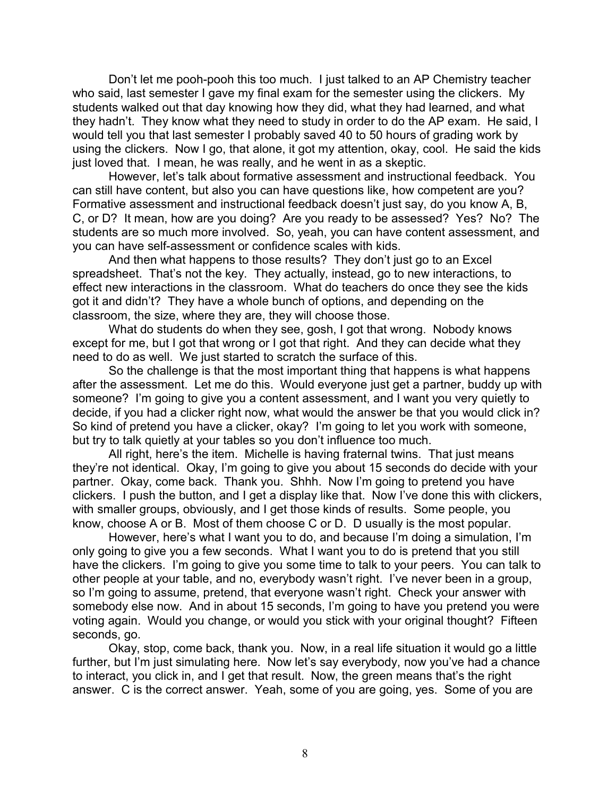Don't let me pooh-pooh this too much. I just talked to an AP Chemistry teacher who said, last semester I gave my final exam for the semester using the clickers. My students walked out that day knowing how they did, what they had learned, and what they hadn't. They know what they need to study in order to do the AP exam. He said, I would tell you that last semester I probably saved 40 to 50 hours of grading work by using the clickers. Now I go, that alone, it got my attention, okay, cool. He said the kids just loved that. I mean, he was really, and he went in as a skeptic.

However, let's talk about formative assessment and instructional feedback. You can still have content, but also you can have questions like, how competent are you? Formative assessment and instructional feedback doesn't just say, do you know A, B, C, or D? It mean, how are you doing? Are you ready to be assessed? Yes? No? The students are so much more involved. So, yeah, you can have content assessment, and you can have self-assessment or confidence scales with kids.

And then what happens to those results? They don't just go to an Excel spreadsheet. That's not the key. They actually, instead, go to new interactions, to effect new interactions in the classroom. What do teachers do once they see the kids got it and didn't? They have a whole bunch of options, and depending on the classroom, the size, where they are, they will choose those.

What do students do when they see, gosh, I got that wrong. Nobody knows except for me, but I got that wrong or I got that right. And they can decide what they need to do as well. We just started to scratch the surface of this.

So the challenge is that the most important thing that happens is what happens after the assessment. Let me do this. Would everyone just get a partner, buddy up with someone? I'm going to give you a content assessment, and I want you very quietly to decide, if you had a clicker right now, what would the answer be that you would click in? So kind of pretend you have a clicker, okay? I'm going to let you work with someone, but try to talk quietly at your tables so you don't influence too much.

All right, here's the item. Michelle is having fraternal twins. That just means they're not identical. Okay, I'm going to give you about 15 seconds do decide with your partner. Okay, come back. Thank you. Shhh. Now I'm going to pretend you have clickers. I push the button, and I get a display like that. Now I've done this with clickers, with smaller groups, obviously, and I get those kinds of results. Some people, you know, choose A or B. Most of them choose C or D. D usually is the most popular.

However, here's what I want you to do, and because I'm doing a simulation, I'm only going to give you a few seconds. What I want you to do is pretend that you still have the clickers. I'm going to give you some time to talk to your peers. You can talk to other people at your table, and no, everybody wasn't right. I've never been in a group, so I'm going to assume, pretend, that everyone wasn't right. Check your answer with somebody else now. And in about 15 seconds, I'm going to have you pretend you were voting again. Would you change, or would you stick with your original thought? Fifteen seconds, go.

Okay, stop, come back, thank you. Now, in a real life situation it would go a little further, but I'm just simulating here. Now let's say everybody, now you've had a chance to interact, you click in, and I get that result. Now, the green means that's the right answer. C is the correct answer. Yeah, some of you are going, yes. Some of you are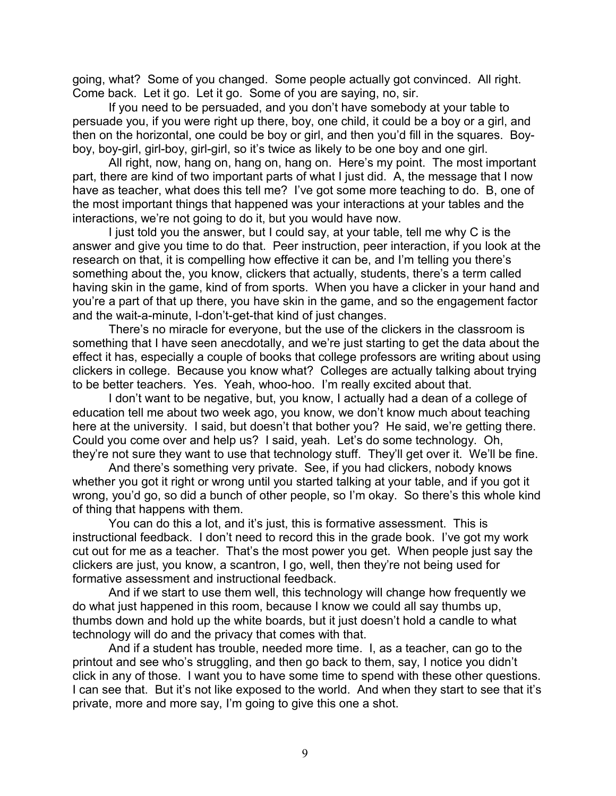going, what? Some of you changed. Some people actually got convinced. All right. Come back. Let it go. Let it go. Some of you are saying, no, sir.

If you need to be persuaded, and you don't have somebody at your table to persuade you, if you were right up there, boy, one child, it could be a boy or a girl, and then on the horizontal, one could be boy or girl, and then you'd fill in the squares. Boyboy, boy-girl, girl-boy, girl-girl, so it's twice as likely to be one boy and one girl.

All right, now, hang on, hang on, hang on. Here's my point. The most important part, there are kind of two important parts of what I just did. A, the message that I now have as teacher, what does this tell me? I've got some more teaching to do. B, one of the most important things that happened was your interactions at your tables and the interactions, we're not going to do it, but you would have now.

I just told you the answer, but I could say, at your table, tell me why C is the answer and give you time to do that. Peer instruction, peer interaction, if you look at the research on that, it is compelling how effective it can be, and I'm telling you there's something about the, you know, clickers that actually, students, there's a term called having skin in the game, kind of from sports. When you have a clicker in your hand and you're a part of that up there, you have skin in the game, and so the engagement factor and the wait-a-minute, I-don't-get-that kind of just changes.

There's no miracle for everyone, but the use of the clickers in the classroom is something that I have seen anecdotally, and we're just starting to get the data about the effect it has, especially a couple of books that college professors are writing about using clickers in college. Because you know what? Colleges are actually talking about trying to be better teachers. Yes. Yeah, whoo-hoo. I'm really excited about that.

I don't want to be negative, but, you know, I actually had a dean of a college of education tell me about two week ago, you know, we don't know much about teaching here at the university. I said, but doesn't that bother you? He said, we're getting there. Could you come over and help us? I said, yeah. Let's do some technology. Oh, they're not sure they want to use that technology stuff. They'll get over it. We'll be fine.

And there's something very private. See, if you had clickers, nobody knows whether you got it right or wrong until you started talking at your table, and if you got it wrong, you'd go, so did a bunch of other people, so I'm okay. So there's this whole kind of thing that happens with them.

You can do this a lot, and it's just, this is formative assessment. This is instructional feedback. I don't need to record this in the grade book. I've got my work cut out for me as a teacher. That's the most power you get. When people just say the clickers are just, you know, a scantron, I go, well, then they're not being used for formative assessment and instructional feedback.

And if we start to use them well, this technology will change how frequently we do what just happened in this room, because I know we could all say thumbs up, thumbs down and hold up the white boards, but it just doesn't hold a candle to what technology will do and the privacy that comes with that.

And if a student has trouble, needed more time. I, as a teacher, can go to the printout and see who's struggling, and then go back to them, say, I notice you didn't click in any of those. I want you to have some time to spend with these other questions. I can see that. But it's not like exposed to the world. And when they start to see that it's private, more and more say, I'm going to give this one a shot.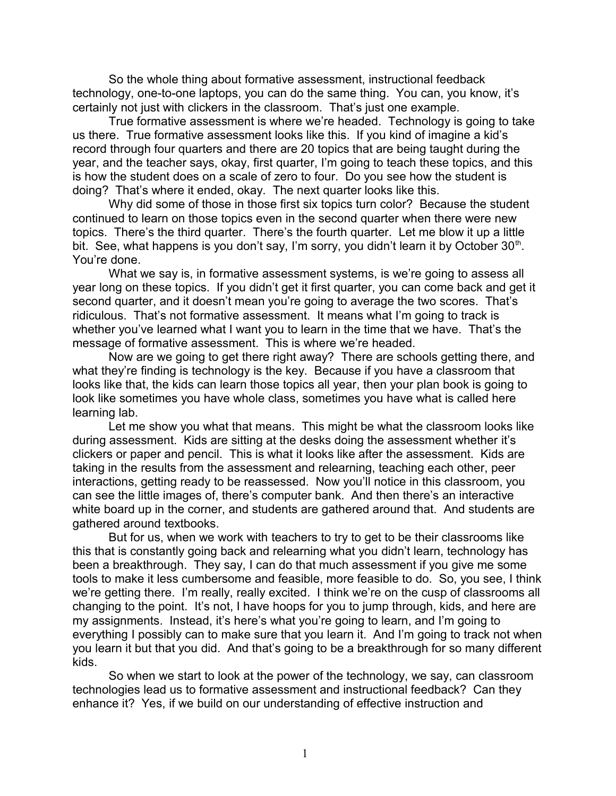So the whole thing about formative assessment, instructional feedback technology, one-to-one laptops, you can do the same thing. You can, you know, it's certainly not just with clickers in the classroom. That's just one example.

True formative assessment is where we're headed. Technology is going to take us there. True formative assessment looks like this. If you kind of imagine a kid's record through four quarters and there are 20 topics that are being taught during the year, and the teacher says, okay, first quarter, I'm going to teach these topics, and this is how the student does on a scale of zero to four. Do you see how the student is doing? That's where it ended, okay. The next quarter looks like this.

Why did some of those in those first six topics turn color? Because the student continued to learn on those topics even in the second quarter when there were new topics. There's the third quarter. There's the fourth quarter. Let me blow it up a little bit. See, what happens is you don't say, I'm sorry, you didn't learn it by October  $30<sup>th</sup>$ . You're done.

What we say is, in formative assessment systems, is we're going to assess all year long on these topics. If you didn't get it first quarter, you can come back and get it second quarter, and it doesn't mean you're going to average the two scores. That's ridiculous. That's not formative assessment. It means what I'm going to track is whether you've learned what I want you to learn in the time that we have. That's the message of formative assessment. This is where we're headed.

Now are we going to get there right away? There are schools getting there, and what they're finding is technology is the key. Because if you have a classroom that looks like that, the kids can learn those topics all year, then your plan book is going to look like sometimes you have whole class, sometimes you have what is called here learning lab.

Let me show you what that means. This might be what the classroom looks like during assessment. Kids are sitting at the desks doing the assessment whether it's clickers or paper and pencil. This is what it looks like after the assessment. Kids are taking in the results from the assessment and relearning, teaching each other, peer interactions, getting ready to be reassessed. Now you'll notice in this classroom, you can see the little images of, there's computer bank. And then there's an interactive white board up in the corner, and students are gathered around that. And students are gathered around textbooks.

But for us, when we work with teachers to try to get to be their classrooms like this that is constantly going back and relearning what you didn't learn, technology has been a breakthrough. They say, I can do that much assessment if you give me some tools to make it less cumbersome and feasible, more feasible to do. So, you see, I think we're getting there. I'm really, really excited. I think we're on the cusp of classrooms all changing to the point. It's not, I have hoops for you to jump through, kids, and here are my assignments. Instead, it's here's what you're going to learn, and I'm going to everything I possibly can to make sure that you learn it. And I'm going to track not when you learn it but that you did. And that's going to be a breakthrough for so many different kids.

So when we start to look at the power of the technology, we say, can classroom technologies lead us to formative assessment and instructional feedback? Can they enhance it? Yes, if we build on our understanding of effective instruction and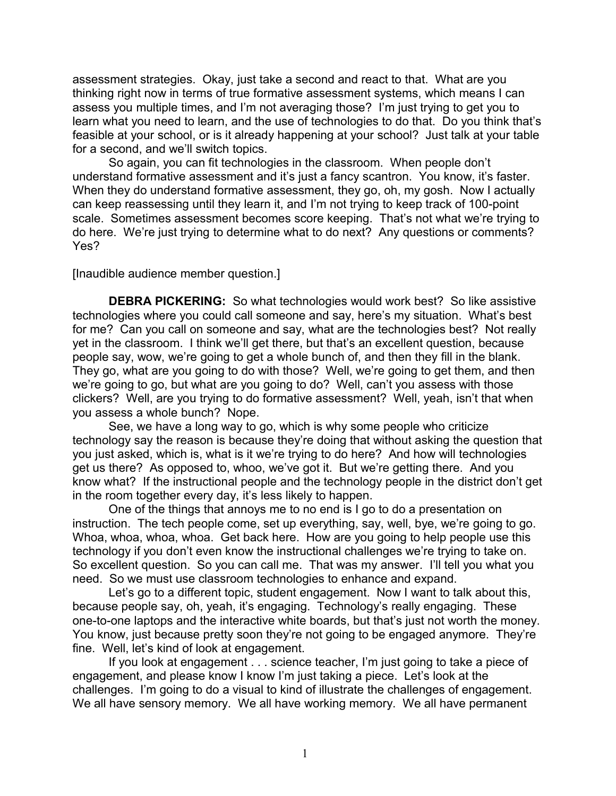assessment strategies. Okay, just take a second and react to that. What are you thinking right now in terms of true formative assessment systems, which means I can assess you multiple times, and I'm not averaging those? I'm just trying to get you to learn what you need to learn, and the use of technologies to do that. Do you think that's feasible at your school, or is it already happening at your school? Just talk at your table for a second, and we'll switch topics.

So again, you can fit technologies in the classroom. When people don't understand formative assessment and it's just a fancy scantron. You know, it's faster. When they do understand formative assessment, they go, oh, my gosh. Now I actually can keep reassessing until they learn it, and I'm not trying to keep track of 100-point scale. Sometimes assessment becomes score keeping. That's not what we're trying to do here. We're just trying to determine what to do next? Any questions or comments? Yes?

[Inaudible audience member question.]

**DEBRA PICKERING:** So what technologies would work best? So like assistive technologies where you could call someone and say, here's my situation. What's best for me? Can you call on someone and say, what are the technologies best? Not really yet in the classroom. I think we'll get there, but that's an excellent question, because people say, wow, we're going to get a whole bunch of, and then they fill in the blank. They go, what are you going to do with those? Well, we're going to get them, and then we're going to go, but what are you going to do? Well, can't you assess with those clickers? Well, are you trying to do formative assessment? Well, yeah, isn't that when you assess a whole bunch? Nope.

See, we have a long way to go, which is why some people who criticize technology say the reason is because they're doing that without asking the question that you just asked, which is, what is it we're trying to do here? And how will technologies get us there? As opposed to, whoo, we've got it. But we're getting there. And you know what? If the instructional people and the technology people in the district don't get in the room together every day, it's less likely to happen.

One of the things that annoys me to no end is I go to do a presentation on instruction. The tech people come, set up everything, say, well, bye, we're going to go. Whoa, whoa, whoa, whoa. Get back here. How are you going to help people use this technology if you don't even know the instructional challenges we're trying to take on. So excellent question. So you can call me. That was my answer. I'll tell you what you need. So we must use classroom technologies to enhance and expand.

Let's go to a different topic, student engagement. Now I want to talk about this, because people say, oh, yeah, it's engaging. Technology's really engaging. These one-to-one laptops and the interactive white boards, but that's just not worth the money. You know, just because pretty soon they're not going to be engaged anymore. They're fine. Well, let's kind of look at engagement.

If you look at engagement . . . science teacher, I'm just going to take a piece of engagement, and please know I know I'm just taking a piece. Let's look at the challenges. I'm going to do a visual to kind of illustrate the challenges of engagement. We all have sensory memory. We all have working memory. We all have permanent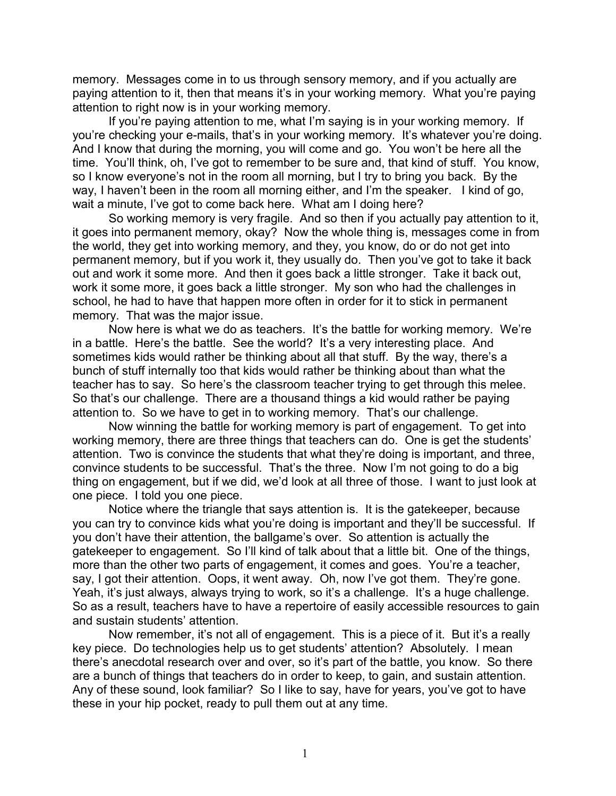memory. Messages come in to us through sensory memory, and if you actually are paying attention to it, then that means it's in your working memory. What you're paying attention to right now is in your working memory.

If you're paying attention to me, what I'm saying is in your working memory. If you're checking your e-mails, that's in your working memory. It's whatever you're doing. And I know that during the morning, you will come and go. You won't be here all the time. You'll think, oh, I've got to remember to be sure and, that kind of stuff. You know, so I know everyone's not in the room all morning, but I try to bring you back. By the way, I haven't been in the room all morning either, and I'm the speaker. I kind of go, wait a minute, I've got to come back here. What am I doing here?

So working memory is very fragile. And so then if you actually pay attention to it, it goes into permanent memory, okay? Now the whole thing is, messages come in from the world, they get into working memory, and they, you know, do or do not get into permanent memory, but if you work it, they usually do. Then you've got to take it back out and work it some more. And then it goes back a little stronger. Take it back out, work it some more, it goes back a little stronger. My son who had the challenges in school, he had to have that happen more often in order for it to stick in permanent memory. That was the major issue.

Now here is what we do as teachers. It's the battle for working memory. We're in a battle. Here's the battle. See the world? It's a very interesting place. And sometimes kids would rather be thinking about all that stuff. By the way, there's a bunch of stuff internally too that kids would rather be thinking about than what the teacher has to say. So here's the classroom teacher trying to get through this melee. So that's our challenge. There are a thousand things a kid would rather be paying attention to. So we have to get in to working memory. That's our challenge.

Now winning the battle for working memory is part of engagement. To get into working memory, there are three things that teachers can do. One is get the students' attention. Two is convince the students that what they're doing is important, and three, convince students to be successful. That's the three. Now I'm not going to do a big thing on engagement, but if we did, we'd look at all three of those. I want to just look at one piece. I told you one piece.

Notice where the triangle that says attention is. It is the gatekeeper, because you can try to convince kids what you're doing is important and they'll be successful. If you don't have their attention, the ballgame's over. So attention is actually the gatekeeper to engagement. So I'll kind of talk about that a little bit. One of the things, more than the other two parts of engagement, it comes and goes. You're a teacher, say, I got their attention. Oops, it went away. Oh, now I've got them. They're gone. Yeah, it's just always, always trying to work, so it's a challenge. It's a huge challenge. So as a result, teachers have to have a repertoire of easily accessible resources to gain and sustain students' attention.

Now remember, it's not all of engagement. This is a piece of it. But it's a really key piece. Do technologies help us to get students' attention? Absolutely. I mean there's anecdotal research over and over, so it's part of the battle, you know. So there are a bunch of things that teachers do in order to keep, to gain, and sustain attention. Any of these sound, look familiar? So I like to say, have for years, you've got to have these in your hip pocket, ready to pull them out at any time.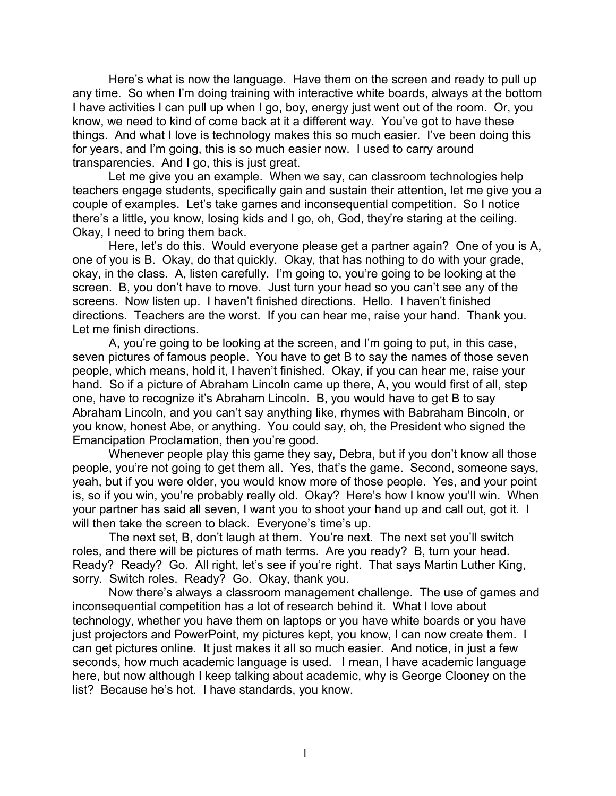Here's what is now the language. Have them on the screen and ready to pull up any time. So when I'm doing training with interactive white boards, always at the bottom I have activities I can pull up when I go, boy, energy just went out of the room. Or, you know, we need to kind of come back at it a different way. You've got to have these things. And what I love is technology makes this so much easier. I've been doing this for years, and I'm going, this is so much easier now. I used to carry around transparencies. And I go, this is just great.

Let me give you an example. When we say, can classroom technologies help teachers engage students, specifically gain and sustain their attention, let me give you a couple of examples. Let's take games and inconsequential competition. So I notice there's a little, you know, losing kids and I go, oh, God, they're staring at the ceiling. Okay, I need to bring them back.

Here, let's do this. Would everyone please get a partner again? One of you is A, one of you is B. Okay, do that quickly. Okay, that has nothing to do with your grade, okay, in the class. A, listen carefully. I'm going to, you're going to be looking at the screen. B, you don't have to move. Just turn your head so you can't see any of the screens. Now listen up. I haven't finished directions. Hello. I haven't finished directions. Teachers are the worst. If you can hear me, raise your hand. Thank you. Let me finish directions.

A, you're going to be looking at the screen, and I'm going to put, in this case, seven pictures of famous people. You have to get B to say the names of those seven people, which means, hold it, I haven't finished. Okay, if you can hear me, raise your hand. So if a picture of Abraham Lincoln came up there, A, you would first of all, step one, have to recognize it's Abraham Lincoln. B, you would have to get B to say Abraham Lincoln, and you can't say anything like, rhymes with Babraham Bincoln, or you know, honest Abe, or anything. You could say, oh, the President who signed the Emancipation Proclamation, then you're good.

Whenever people play this game they say, Debra, but if you don't know all those people, you're not going to get them all. Yes, that's the game. Second, someone says, yeah, but if you were older, you would know more of those people. Yes, and your point is, so if you win, you're probably really old. Okay? Here's how I know you'll win. When your partner has said all seven, I want you to shoot your hand up and call out, got it. I will then take the screen to black. Everyone's time's up.

The next set, B, don't laugh at them. You're next. The next set you'll switch roles, and there will be pictures of math terms. Are you ready? B, turn your head. Ready? Ready? Go. All right, let's see if you're right. That says Martin Luther King, sorry. Switch roles. Ready? Go. Okay, thank you.

Now there's always a classroom management challenge. The use of games and inconsequential competition has a lot of research behind it. What I love about technology, whether you have them on laptops or you have white boards or you have just projectors and PowerPoint, my pictures kept, you know, I can now create them. I can get pictures online. It just makes it all so much easier. And notice, in just a few seconds, how much academic language is used. I mean, I have academic language here, but now although I keep talking about academic, why is George Clooney on the list? Because he's hot. I have standards, you know.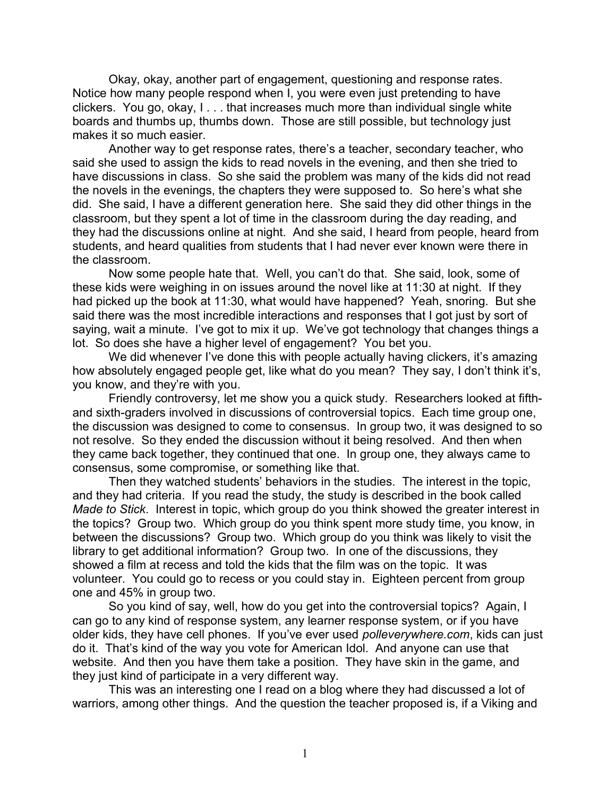Okay, okay, another part of engagement, questioning and response rates. Notice how many people respond when I, you were even just pretending to have clickers. You go, okay, I . . . that increases much more than individual single white boards and thumbs up, thumbs down. Those are still possible, but technology just makes it so much easier.

Another way to get response rates, there's a teacher, secondary teacher, who said she used to assign the kids to read novels in the evening, and then she tried to have discussions in class. So she said the problem was many of the kids did not read the novels in the evenings, the chapters they were supposed to. So here's what she did. She said, I have a different generation here. She said they did other things in the classroom, but they spent a lot of time in the classroom during the day reading, and they had the discussions online at night. And she said, I heard from people, heard from students, and heard qualities from students that I had never ever known were there in the classroom.

Now some people hate that. Well, you can't do that. She said, look, some of these kids were weighing in on issues around the novel like at 11:30 at night. If they had picked up the book at 11:30, what would have happened? Yeah, snoring. But she said there was the most incredible interactions and responses that I got just by sort of saying, wait a minute. I've got to mix it up. We've got technology that changes things a lot. So does she have a higher level of engagement? You bet you.

We did whenever I've done this with people actually having clickers, it's amazing how absolutely engaged people get, like what do you mean? They say, I don't think it's, you know, and they're with you.

Friendly controversy, let me show you a quick study. Researchers looked at fifthand sixth-graders involved in discussions of controversial topics. Each time group one, the discussion was designed to come to consensus. In group two, it was designed to so not resolve. So they ended the discussion without it being resolved. And then when they came back together, they continued that one. In group one, they always came to consensus, some compromise, or something like that.

Then they watched students' behaviors in the studies. The interest in the topic, and they had criteria. If you read the study, the study is described in the book called *Made to Stick*. Interest in topic, which group do you think showed the greater interest in the topics? Group two. Which group do you think spent more study time, you know, in between the discussions? Group two. Which group do you think was likely to visit the library to get additional information? Group two. In one of the discussions, they showed a film at recess and told the kids that the film was on the topic. It was volunteer. You could go to recess or you could stay in. Eighteen percent from group one and 45% in group two.

So you kind of say, well, how do you get into the controversial topics? Again, I can go to any kind of response system, any learner response system, or if you have older kids, they have cell phones. If you've ever used *polleverywhere.com*, kids can just do it. That's kind of the way you vote for American Idol. And anyone can use that website. And then you have them take a position. They have skin in the game, and they just kind of participate in a very different way.

This was an interesting one I read on a blog where they had discussed a lot of warriors, among other things. And the question the teacher proposed is, if a Viking and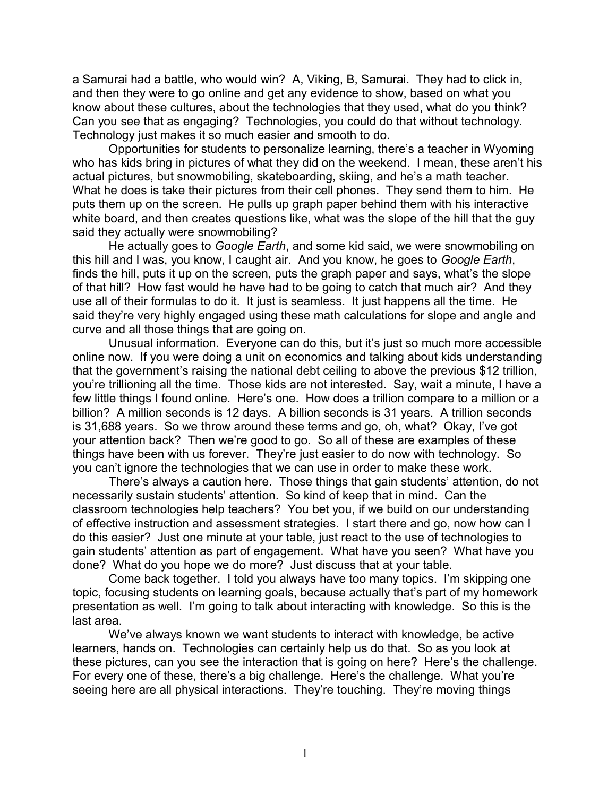a Samurai had a battle, who would win? A, Viking, B, Samurai. They had to click in, and then they were to go online and get any evidence to show, based on what you know about these cultures, about the technologies that they used, what do you think? Can you see that as engaging? Technologies, you could do that without technology. Technology just makes it so much easier and smooth to do.

Opportunities for students to personalize learning, there's a teacher in Wyoming who has kids bring in pictures of what they did on the weekend. I mean, these aren't his actual pictures, but snowmobiling, skateboarding, skiing, and he's a math teacher. What he does is take their pictures from their cell phones. They send them to him. He puts them up on the screen. He pulls up graph paper behind them with his interactive white board, and then creates questions like, what was the slope of the hill that the guy said they actually were snowmobiling?

He actually goes to *Google Earth*, and some kid said, we were snowmobiling on this hill and I was, you know, I caught air. And you know, he goes to *Google Earth*, finds the hill, puts it up on the screen, puts the graph paper and says, what's the slope of that hill? How fast would he have had to be going to catch that much air? And they use all of their formulas to do it. It just is seamless. It just happens all the time. He said they're very highly engaged using these math calculations for slope and angle and curve and all those things that are going on.

Unusual information. Everyone can do this, but it's just so much more accessible online now. If you were doing a unit on economics and talking about kids understanding that the government's raising the national debt ceiling to above the previous \$12 trillion, you're trillioning all the time. Those kids are not interested. Say, wait a minute, I have a few little things I found online. Here's one. How does a trillion compare to a million or a billion? A million seconds is 12 days. A billion seconds is 31 years. A trillion seconds is 31,688 years. So we throw around these terms and go, oh, what? Okay, I've got your attention back? Then we're good to go. So all of these are examples of these things have been with us forever. They're just easier to do now with technology. So you can't ignore the technologies that we can use in order to make these work.

There's always a caution here. Those things that gain students' attention, do not necessarily sustain students' attention. So kind of keep that in mind. Can the classroom technologies help teachers? You bet you, if we build on our understanding of effective instruction and assessment strategies. I start there and go, now how can I do this easier? Just one minute at your table, just react to the use of technologies to gain students' attention as part of engagement. What have you seen? What have you done? What do you hope we do more? Just discuss that at your table.

Come back together. I told you always have too many topics. I'm skipping one topic, focusing students on learning goals, because actually that's part of my homework presentation as well. I'm going to talk about interacting with knowledge. So this is the last area.

We've always known we want students to interact with knowledge, be active learners, hands on. Technologies can certainly help us do that. So as you look at these pictures, can you see the interaction that is going on here? Here's the challenge. For every one of these, there's a big challenge. Here's the challenge. What you're seeing here are all physical interactions. They're touching. They're moving things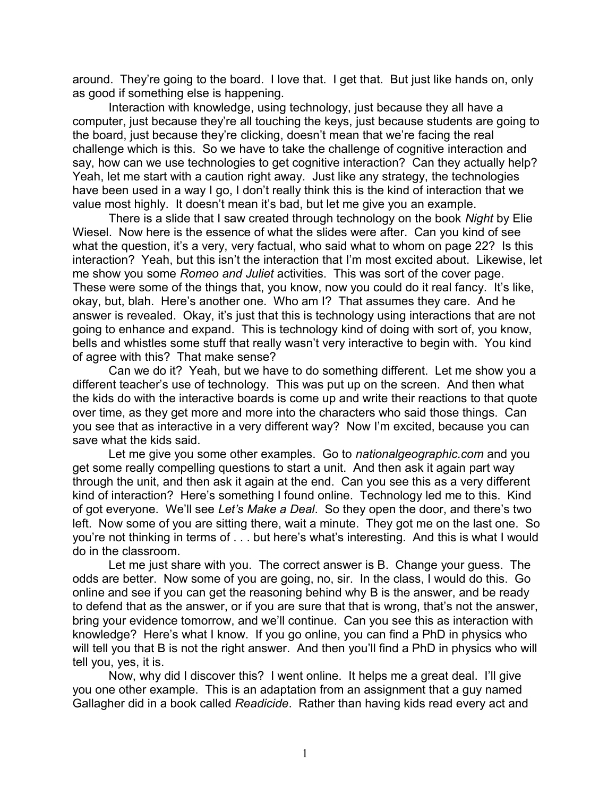around. They're going to the board. I love that. I get that. But just like hands on, only as good if something else is happening.

Interaction with knowledge, using technology, just because they all have a computer, just because they're all touching the keys, just because students are going to the board, just because they're clicking, doesn't mean that we're facing the real challenge which is this. So we have to take the challenge of cognitive interaction and say, how can we use technologies to get cognitive interaction? Can they actually help? Yeah, let me start with a caution right away. Just like any strategy, the technologies have been used in a way I go, I don't really think this is the kind of interaction that we value most highly. It doesn't mean it's bad, but let me give you an example.

There is a slide that I saw created through technology on the book *Night* by Elie Wiesel. Now here is the essence of what the slides were after. Can you kind of see what the question, it's a very, very factual, who said what to whom on page 22? Is this interaction? Yeah, but this isn't the interaction that I'm most excited about. Likewise, let me show you some *Romeo and Juliet* activities. This was sort of the cover page. These were some of the things that, you know, now you could do it real fancy. It's like, okay, but, blah. Here's another one. Who am I? That assumes they care. And he answer is revealed. Okay, it's just that this is technology using interactions that are not going to enhance and expand. This is technology kind of doing with sort of, you know, bells and whistles some stuff that really wasn't very interactive to begin with. You kind of agree with this? That make sense?

Can we do it? Yeah, but we have to do something different. Let me show you a different teacher's use of technology. This was put up on the screen. And then what the kids do with the interactive boards is come up and write their reactions to that quote over time, as they get more and more into the characters who said those things. Can you see that as interactive in a very different way? Now I'm excited, because you can save what the kids said.

Let me give you some other examples. Go to *nationalgeographic.com* and you get some really compelling questions to start a unit. And then ask it again part way through the unit, and then ask it again at the end. Can you see this as a very different kind of interaction? Here's something I found online. Technology led me to this. Kind of got everyone. We'll see *Let's Make a Deal*. So they open the door, and there's two left. Now some of you are sitting there, wait a minute. They got me on the last one. So you're not thinking in terms of . . . but here's what's interesting. And this is what I would do in the classroom.

Let me just share with you. The correct answer is B. Change your guess. The odds are better. Now some of you are going, no, sir. In the class, I would do this. Go online and see if you can get the reasoning behind why B is the answer, and be ready to defend that as the answer, or if you are sure that that is wrong, that's not the answer, bring your evidence tomorrow, and we'll continue. Can you see this as interaction with knowledge? Here's what I know. If you go online, you can find a PhD in physics who will tell you that B is not the right answer. And then you'll find a PhD in physics who will tell you, yes, it is.

Now, why did I discover this? I went online. It helps me a great deal. I'll give you one other example. This is an adaptation from an assignment that a guy named Gallagher did in a book called *Readicide*. Rather than having kids read every act and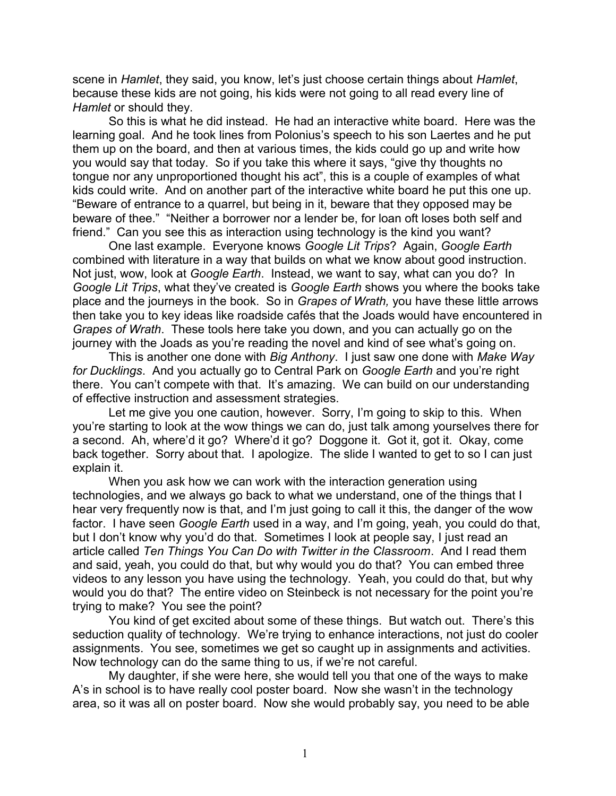scene in *Hamlet*, they said, you know, let's just choose certain things about *Hamlet*, because these kids are not going, his kids were not going to all read every line of *Hamlet* or should they.

So this is what he did instead. He had an interactive white board. Here was the learning goal. And he took lines from Polonius's speech to his son Laertes and he put them up on the board, and then at various times, the kids could go up and write how you would say that today. So if you take this where it says, "give thy thoughts no tongue nor any unproportioned thought his act", this is a couple of examples of what kids could write. And on another part of the interactive white board he put this one up. "Beware of entrance to a quarrel, but being in it, beware that they opposed may be beware of thee." "Neither a borrower nor a lender be, for loan oft loses both self and friend." Can you see this as interaction using technology is the kind you want?

One last example. Everyone knows *Google Lit Trips*? Again, *Google Earth* combined with literature in a way that builds on what we know about good instruction. Not just, wow, look at *Google Earth*. Instead, we want to say, what can you do? In *Google Lit Trips*, what they've created is *Google Earth* shows you where the books take place and the journeys in the book. So in *Grapes of Wrath,* you have these little arrows then take you to key ideas like roadside cafés that the Joads would have encountered in *Grapes of Wrath*. These tools here take you down, and you can actually go on the journey with the Joads as you're reading the novel and kind of see what's going on.

This is another one done with *Big Anthony*. I just saw one done with *Make Way for Ducklings*. And you actually go to Central Park on *Google Earth* and you're right there. You can't compete with that. It's amazing. We can build on our understanding of effective instruction and assessment strategies.

Let me give you one caution, however. Sorry, I'm going to skip to this. When you're starting to look at the wow things we can do, just talk among yourselves there for a second. Ah, where'd it go? Where'd it go? Doggone it. Got it, got it. Okay, come back together. Sorry about that. I apologize. The slide I wanted to get to so I can just explain it.

When you ask how we can work with the interaction generation using technologies, and we always go back to what we understand, one of the things that I hear very frequently now is that, and I'm just going to call it this, the danger of the wow factor. I have seen *Google Earth* used in a way, and I'm going, yeah, you could do that, but I don't know why you'd do that. Sometimes I look at people say, I just read an article called *Ten Things You Can Do with Twitter in the Classroom*. And I read them and said, yeah, you could do that, but why would you do that? You can embed three videos to any lesson you have using the technology. Yeah, you could do that, but why would you do that? The entire video on Steinbeck is not necessary for the point you're trying to make? You see the point?

You kind of get excited about some of these things. But watch out. There's this seduction quality of technology. We're trying to enhance interactions, not just do cooler assignments. You see, sometimes we get so caught up in assignments and activities. Now technology can do the same thing to us, if we're not careful.

My daughter, if she were here, she would tell you that one of the ways to make A's in school is to have really cool poster board. Now she wasn't in the technology area, so it was all on poster board. Now she would probably say, you need to be able